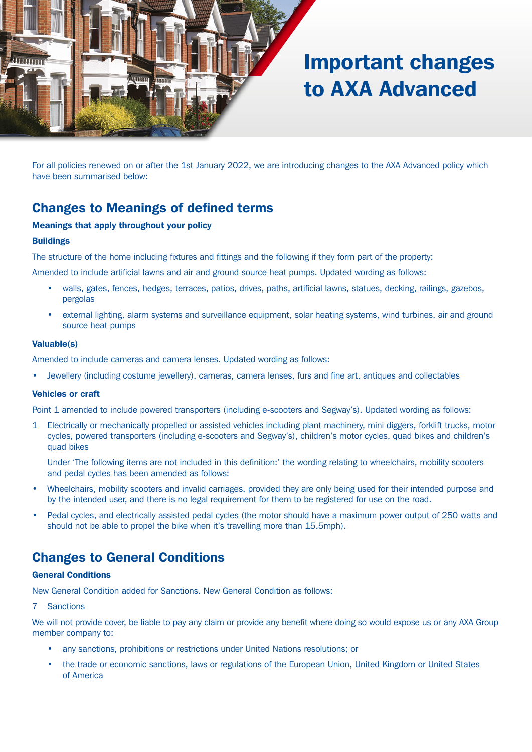

# Important changes to AXA Advanced

For all policies renewed on or after the 1st January 2022, we are introducing changes to the AXA Advanced policy which have been summarised below:

# Changes to Meanings of defined terms

#### Meanings that apply throughout your policy

#### **Buildings**

The structure of the home including fixtures and fittings and the following if they form part of the property:

Amended to include artificial lawns and air and ground source heat pumps. Updated wording as follows:

- walls, gates, fences, hedges, terraces, patios, drives, paths, artificial lawns, statues, decking, railings, gazebos, pergolas
- external lighting, alarm systems and surveillance equipment, solar heating systems, wind turbines, air and ground source heat pumps

#### Valuable(s)

Amended to include cameras and camera lenses. Updated wording as follows:

• Jewellery (including costume jewellery), cameras, camera lenses, furs and fine art, antiques and collectables

#### Vehicles or craft

Point 1 amended to include powered transporters (including e-scooters and Segway's). Updated wording as follows:

1 Electrically or mechanically propelled or assisted vehicles including plant machinery, mini diggers, forklift trucks, motor cycles, powered transporters (including e-scooters and Segway's), children's motor cycles, quad bikes and children's quad bikes

 Under 'The following items are not included in this definition:' the wording relating to wheelchairs, mobility scooters and pedal cycles has been amended as follows:

- Wheelchairs, mobility scooters and invalid carriages, provided they are only being used for their intended purpose and by the intended user, and there is no legal requirement for them to be registered for use on the road.
- Pedal cycles, and electrically assisted pedal cycles (the motor should have a maximum power output of 250 watts and should not be able to propel the bike when it's travelling more than 15.5mph).

### Changes to General Conditions

#### General Conditions

New General Condition added for Sanctions. New General Condition as follows:

7 Sanctions

We will not provide cover, be liable to pay any claim or provide any benefit where doing so would expose us or any AXA Group member company to:

- any sanctions, prohibitions or restrictions under United Nations resolutions; or
- the trade or economic sanctions, laws or regulations of the European Union, United Kingdom or United States of America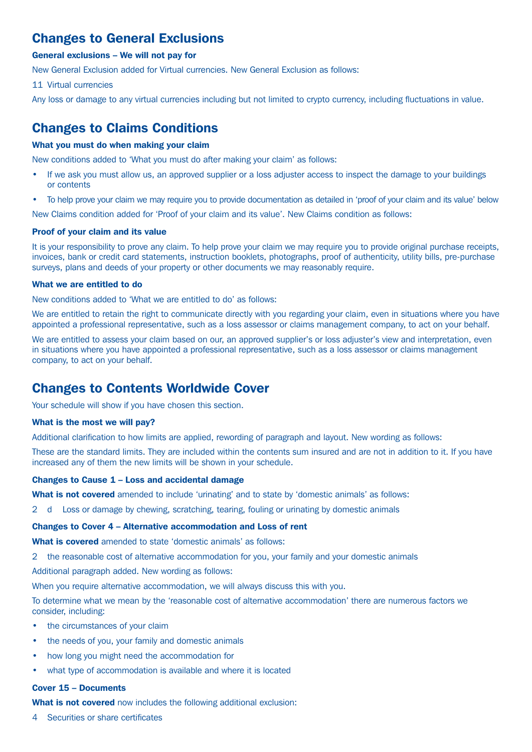# Changes to General Exclusions

#### General exclusions – We will not pay for

New General Exclusion added for Virtual currencies. New General Exclusion as follows:

11 Virtual currencies

Any loss or damage to any virtual currencies including but not limited to crypto currency, including fluctuations in value.

### Changes to Claims Conditions

#### What you must do when making your claim

New conditions added to 'What you must do after making your claim' as follows:

- If we ask you must allow us, an approved supplier or a loss adjuster access to inspect the damage to your buildings or contents
- To help prove your claim we may require you to provide documentation as detailed in 'proof of your claim and its value' below

New Claims condition added for 'Proof of your claim and its value'. New Claims condition as follows:

#### Proof of your claim and its value

It is your responsibility to prove any claim. To help prove your claim we may require you to provide original purchase receipts, invoices, bank or credit card statements, instruction booklets, photographs, proof of authenticity, utility bills, pre-purchase surveys, plans and deeds of your property or other documents we may reasonably require.

#### What we are entitled to do

New conditions added to 'What we are entitled to do' as follows:

We are entitled to retain the right to communicate directly with you regarding your claim, even in situations where you have appointed a professional representative, such as a loss assessor or claims management company, to act on your behalf.

We are entitled to assess your claim based on our, an approved supplier's or loss adjuster's view and interpretation, even in situations where you have appointed a professional representative, such as a loss assessor or claims management company, to act on your behalf.

### Changes to Contents Worldwide Cover

Your schedule will show if you have chosen this section.

#### What is the most we will pay?

Additional clarification to how limits are applied, rewording of paragraph and layout. New wording as follows:

These are the standard limits. They are included within the contents sum insured and are not in addition to it. If you have increased any of them the new limits will be shown in your schedule.

#### Changes to Cause 1 – Loss and accidental damage

What is not covered amended to include 'urinating' and to state by 'domestic animals' as follows:

2 d Loss or damage by chewing, scratching, tearing, fouling or urinating by domestic animals

#### Changes to Cover 4 – Alternative accommodation and Loss of rent

What is covered amended to state 'domestic animals' as follows:

2 the reasonable cost of alternative accommodation for you, your family and your domestic animals

Additional paragraph added. New wording as follows:

When you require alternative accommodation, we will always discuss this with you.

To determine what we mean by the 'reasonable cost of alternative accommodation' there are numerous factors we consider, including:

- the circumstances of your claim
- the needs of you, your family and domestic animals
- how long you might need the accommodation for
- what type of accommodation is available and where it is located

### Cover 15 – Documents

What is not covered now includes the following additional exclusion:

4 Securities or share certificates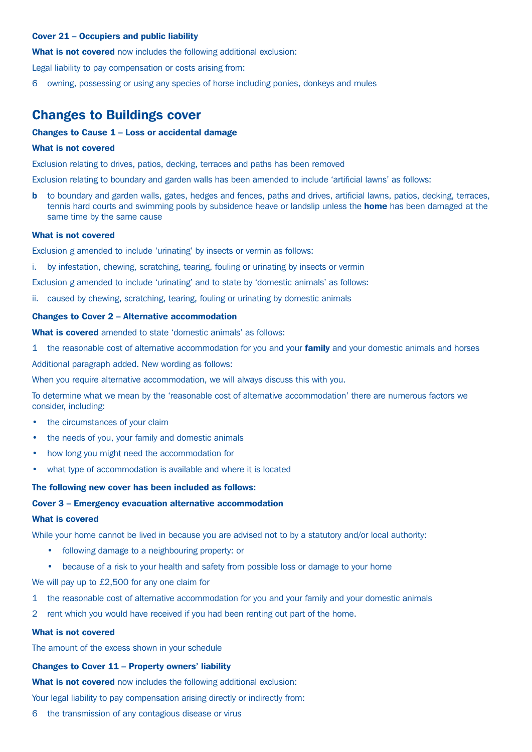#### Cover 21 – Occupiers and public liability

What is not covered now includes the following additional exclusion:

Legal liability to pay compensation or costs arising from:

6 owning, possessing or using any species of horse including ponies, donkeys and mules

### Changes to Buildings cover

#### Changes to Cause 1 – Loss or accidental damage

#### What is not covered

Exclusion relating to drives, patios, decking, terraces and paths has been removed

Exclusion relating to boundary and garden walls has been amended to include 'artificial lawns' as follows:

**b** to boundary and garden walls, gates, hedges and fences, paths and drives, artificial lawns, patios, decking, terraces, tennis hard courts and swimming pools by subsidence heave or landslip unless the **home** has been damaged at the same time by the same cause

#### What is not covered

Exclusion g amended to include 'urinating' by insects or vermin as follows:

i. by infestation, chewing, scratching, tearing, fouling or urinating by insects or vermin

Exclusion g amended to include 'urinating' and to state by 'domestic animals' as follows:

ii. caused by chewing, scratching, tearing, fouling or urinating by domestic animals

#### Changes to Cover 2 – Alternative accommodation

What is covered amended to state 'domestic animals' as follows:

1 the reasonable cost of alternative accommodation for you and your **family** and your domestic animals and horses

Additional paragraph added. New wording as follows:

When you require alternative accommodation, we will always discuss this with you.

To determine what we mean by the 'reasonable cost of alternative accommodation' there are numerous factors we consider, including:

- the circumstances of your claim
- the needs of you, your family and domestic animals
- how long you might need the accommodation for
- what type of accommodation is available and where it is located

#### The following new cover has been included as follows:

#### Cover 3 – Emergency evacuation alternative accommodation

#### What is covered

While your home cannot be lived in because you are advised not to by a statutory and/or local authority:

- following damage to a neighbouring property: or
- because of a risk to your health and safety from possible loss or damage to your home

We will pay up to £2,500 for any one claim for

- 1 the reasonable cost of alternative accommodation for you and your family and your domestic animals
- 2 rent which you would have received if you had been renting out part of the home.

#### What is not covered

The amount of the excess shown in your schedule

#### Changes to Cover 11 – Property owners' liability

What is not covered now includes the following additional exclusion:

Your legal liability to pay compensation arising directly or indirectly from:

6 the transmission of any contagious disease or virus